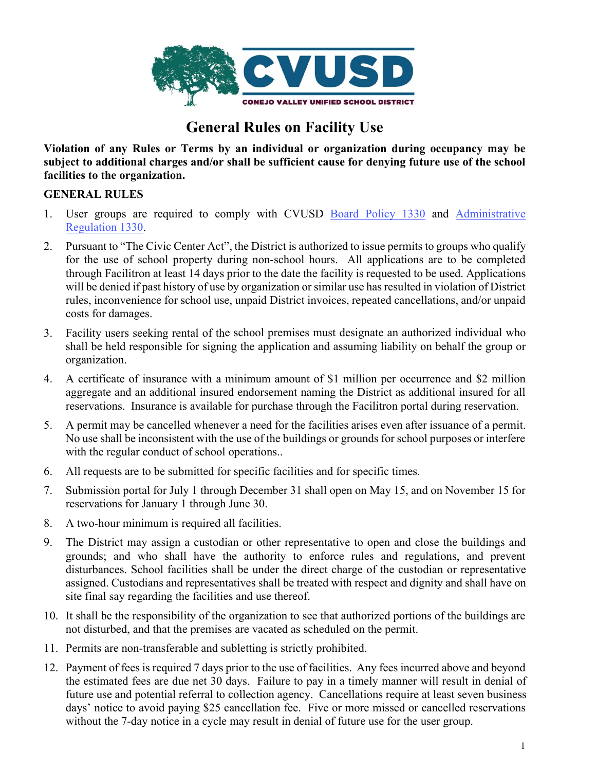

# **General Rules on Facility Use**

**Violation of any Rules or Terms by an individual or organization during occupancy may be subject to additional charges and/or shall be sufficient cause for denying future use of the school facilities to the organization.**

## **GENERAL RULES**

- 1. User groups are required to comply with CVUSD [Board Policy 1330](http://go.boarddocs.com/ca/conejo/Board.nsf/goto?open&id=AJZMMG5BD4CC) and [Administrative](http://go.boarddocs.com/ca/conejo/Board.nsf/goto?open&id=B8K38M781166) [Regulation 1330.](http://go.boarddocs.com/ca/conejo/Board.nsf/goto?open&id=B8K38M781166)
- 2. Pursuant to "The Civic Center Act", the District is authorized to issue permits to groups who qualify for the use of school property during non-school hours. All applications are to be completed through Facilitron at least 14 days prior to the date the facility is requested to be used. Applications will be denied if past history of use by organization or similar use has resulted in violation of District rules, inconvenience for school use, unpaid District invoices, repeated cancellations, and/or unpaid costs for damages.
- 3. Facility users seeking rental of the school premises must designate an authorized individual who shall be held responsible for signing the application and assuming liability on behalf the group or organization.
- 4. A certificate of insurance with a minimum amount of \$1 million per occurrence and \$2 million aggregate and an additional insured endorsement naming the District as additional insured for all reservations. Insurance is available for purchase through the Facilitron portal during reservation.
- 5. A permit may be cancelled whenever a need for the facilities arises even after issuance of a permit. No use shall be inconsistent with the use of the buildings or grounds for school purposes or interfere with the regular conduct of school operations..
- 6. All requests are to be submitted for specific facilities and for specific times.
- 7. Submission portal for July 1 through December 31 shall open on May 15, and on November 15 for reservations for January 1 through June 30.
- 8. A two-hour minimum is required all facilities.
- 9. The District may assign a custodian or other representative to open and close the buildings and grounds; and who shall have the authority to enforce rules and regulations, and prevent disturbances. School facilities shall be under the direct charge of the custodian or representative assigned. Custodians and representatives shall be treated with respect and dignity and shall have on site final say regarding the facilities and use thereof.
- 10. It shall be the responsibility of the organization to see that authorized portions of the buildings are not disturbed, and that the premises are vacated as scheduled on the permit.
- 11. Permits are non-transferable and subletting is strictly prohibited.
- 12. Payment of fees is required 7 days prior to the use of facilities. Any fees incurred above and beyond the estimated fees are due net 30 days. Failure to pay in a timely manner will result in denial of future use and potential referral to collection agency. Cancellations require at least seven business days' notice to avoid paying \$25 cancellation fee. Five or more missed or cancelled reservations without the 7-day notice in a cycle may result in denial of future use for the user group.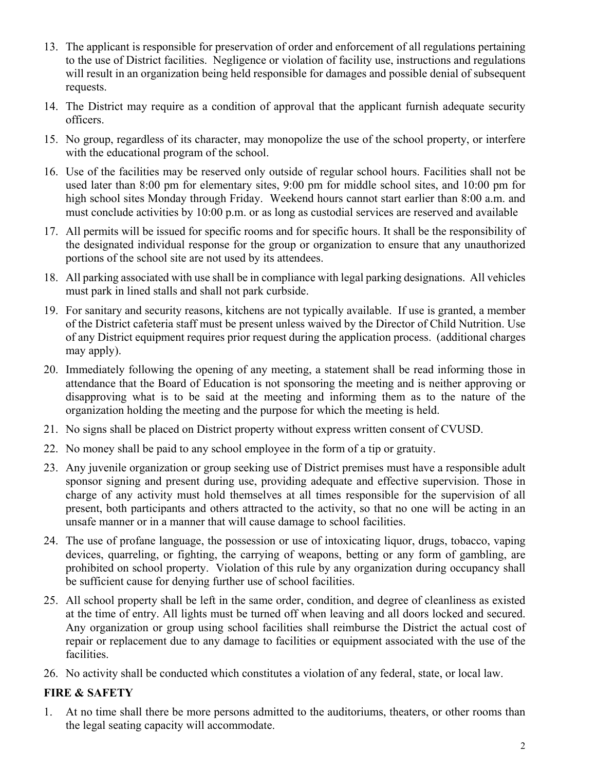- 13. The applicant is responsible for preservation of order and enforcement of all regulations pertaining to the use of District facilities. Negligence or violation of facility use, instructions and regulations will result in an organization being held responsible for damages and possible denial of subsequent requests.
- 14. The District may require as a condition of approval that the applicant furnish adequate security officers.
- 15. No group, regardless of its character, may monopolize the use of the school property, or interfere with the educational program of the school.
- 16. Use of the facilities may be reserved only outside of regular school hours. Facilities shall not be used later than 8:00 pm for elementary sites, 9:00 pm for middle school sites, and 10:00 pm for high school sites Monday through Friday. Weekend hours cannot start earlier than 8:00 a.m. and must conclude activities by 10:00 p.m. or as long as custodial services are reserved and available
- 17. All permits will be issued for specific rooms and for specific hours. It shall be the responsibility of the designated individual response for the group or organization to ensure that any unauthorized portions of the school site are not used by its attendees.
- 18. All parking associated with use shall be in compliance with legal parking designations. All vehicles must park in lined stalls and shall not park curbside.
- 19. For sanitary and security reasons, kitchens are not typically available. If use is granted, a member of the District cafeteria staff must be present unless waived by the Director of Child Nutrition. Use of any District equipment requires prior request during the application process. (additional charges may apply).
- 20. Immediately following the opening of any meeting, a statement shall be read informing those in attendance that the Board of Education is not sponsoring the meeting and is neither approving or disapproving what is to be said at the meeting and informing them as to the nature of the organization holding the meeting and the purpose for which the meeting is held.
- 21. No signs shall be placed on District property without express written consent of CVUSD.
- 22. No money shall be paid to any school employee in the form of a tip or gratuity.
- 23. Any juvenile organization or group seeking use of District premises must have a responsible adult sponsor signing and present during use, providing adequate and effective supervision. Those in charge of any activity must hold themselves at all times responsible for the supervision of all present, both participants and others attracted to the activity, so that no one will be acting in an unsafe manner or in a manner that will cause damage to school facilities.
- 24. The use of profane language, the possession or use of intoxicating liquor, drugs, tobacco, vaping devices, quarreling, or fighting, the carrying of weapons, betting or any form of gambling, are prohibited on school property. Violation of this rule by any organization during occupancy shall be sufficient cause for denying further use of school facilities.
- 25. All school property shall be left in the same order, condition, and degree of cleanliness as existed at the time of entry. All lights must be turned off when leaving and all doors locked and secured. Any organization or group using school facilities shall reimburse the District the actual cost of repair or replacement due to any damage to facilities or equipment associated with the use of the facilities.
- 26. No activity shall be conducted which constitutes a violation of any federal, state, or local law.

# **FIRE & SAFETY**

1. At no time shall there be more persons admitted to the auditoriums, theaters, or other rooms than the legal seating capacity will accommodate.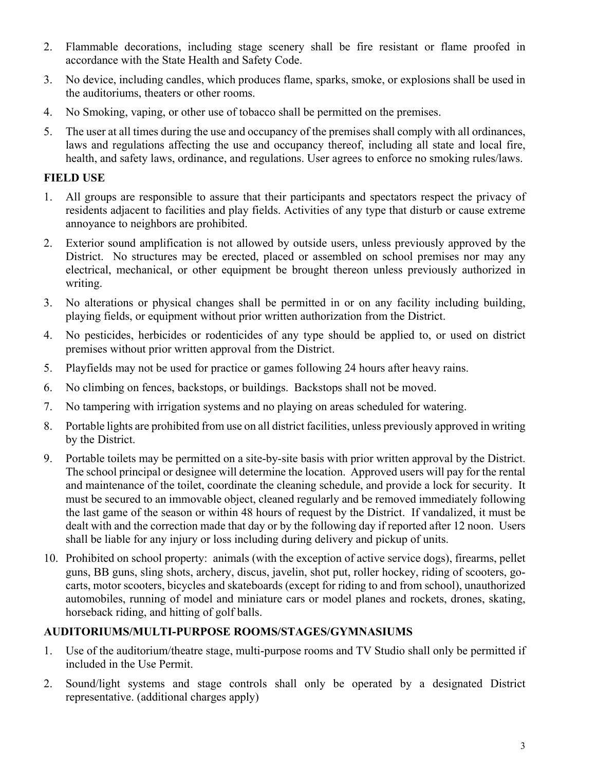- 2. Flammable decorations, including stage scenery shall be fire resistant or flame proofed in accordance with the State Health and Safety Code.
- 3. No device, including candles, which produces flame, sparks, smoke, or explosions shall be used in the auditoriums, theaters or other rooms.
- 4. No Smoking, vaping, or other use of tobacco shall be permitted on the premises.
- 5. The user at all times during the use and occupancy of the premises shall comply with all ordinances, laws and regulations affecting the use and occupancy thereof, including all state and local fire, health, and safety laws, ordinance, and regulations. User agrees to enforce no smoking rules/laws.

#### **FIELD USE**

- 1. All groups are responsible to assure that their participants and spectators respect the privacy of residents adjacent to facilities and play fields. Activities of any type that disturb or cause extreme annoyance to neighbors are prohibited.
- 2. Exterior sound amplification is not allowed by outside users, unless previously approved by the District. No structures may be erected, placed or assembled on school premises nor may any electrical, mechanical, or other equipment be brought thereon unless previously authorized in writing.
- 3. No alterations or physical changes shall be permitted in or on any facility including building, playing fields, or equipment without prior written authorization from the District.
- 4. No pesticides, herbicides or rodenticides of any type should be applied to, or used on district premises without prior written approval from the District.
- 5. Playfields may not be used for practice or games following 24 hours after heavy rains.
- 6. No climbing on fences, backstops, or buildings. Backstops shall not be moved.
- 7. No tampering with irrigation systems and no playing on areas scheduled for watering.
- 8. Portable lights are prohibited from use on all district facilities, unless previously approved in writing by the District.
- 9. Portable toilets may be permitted on a site-by-site basis with prior written approval by the District. The school principal or designee will determine the location. Approved users will pay for the rental and maintenance of the toilet, coordinate the cleaning schedule, and provide a lock for security. It must be secured to an immovable object, cleaned regularly and be removed immediately following the last game of the season or within 48 hours of request by the District. If vandalized, it must be dealt with and the correction made that day or by the following day if reported after 12 noon. Users shall be liable for any injury or loss including during delivery and pickup of units.
- 10. Prohibited on school property: animals (with the exception of active service dogs), firearms, pellet guns, BB guns, sling shots, archery, discus, javelin, shot put, roller hockey, riding of scooters, gocarts, motor scooters, bicycles and skateboards (except for riding to and from school), unauthorized automobiles, running of model and miniature cars or model planes and rockets, drones, skating, horseback riding, and hitting of golf balls.

#### **AUDITORIUMS/MULTI-PURPOSE ROOMS/STAGES/GYMNASIUMS**

- 1. Use of the auditorium/theatre stage, multi-purpose rooms and TV Studio shall only be permitted if included in the Use Permit.
- 2. Sound/light systems and stage controls shall only be operated by a designated District representative. (additional charges apply)